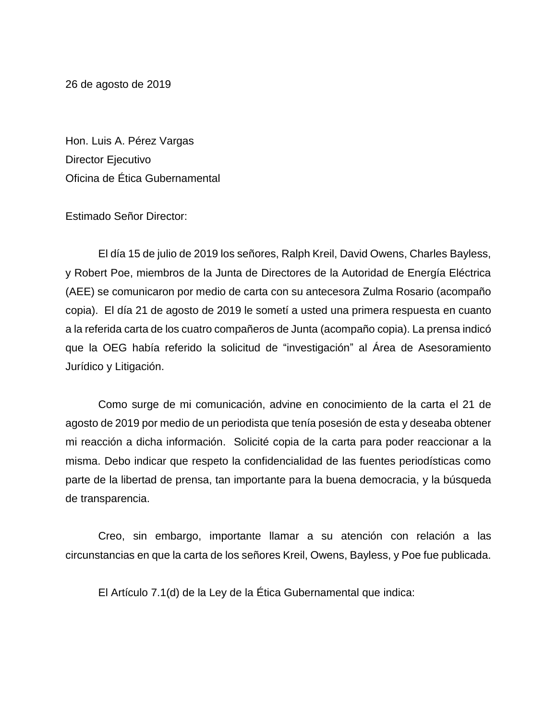26 de agosto de 2019

Hon. Luis A. Pérez Vargas Director Ejecutivo Oficina de Ética Gubernamental

Estimado Señor Director:

El día 15 de julio de 2019 los señores, Ralph Kreil, David Owens, Charles Bayless, y Robert Poe, miembros de la Junta de Directores de la Autoridad de Energía Eléctrica (AEE) se comunicaron por medio de carta con su antecesora Zulma Rosario (acompaño copia). El día 21 de agosto de 2019 le sometí a usted una primera respuesta en cuanto a la referida carta de los cuatro compañeros de Junta (acompaño copia). La prensa indicó que la OEG había referido la solicitud de "investigación" al Área de Asesoramiento Jurídico y Litigación.

Como surge de mi comunicación, advine en conocimiento de la carta el 21 de agosto de 2019 por medio de un periodista que tenía posesión de esta y deseaba obtener mi reacción a dicha información. Solicité copia de la carta para poder reaccionar a la misma. Debo indicar que respeto la confidencialidad de las fuentes periodísticas como parte de la libertad de prensa, tan importante para la buena democracia, y la búsqueda de transparencia.

Creo, sin embargo, importante llamar a su atención con relación a las circunstancias en que la carta de los señores Kreil, Owens, Bayless, y Poe fue publicada.

El Artículo 7.1(d) de la Ley de la Ética Gubernamental que indica: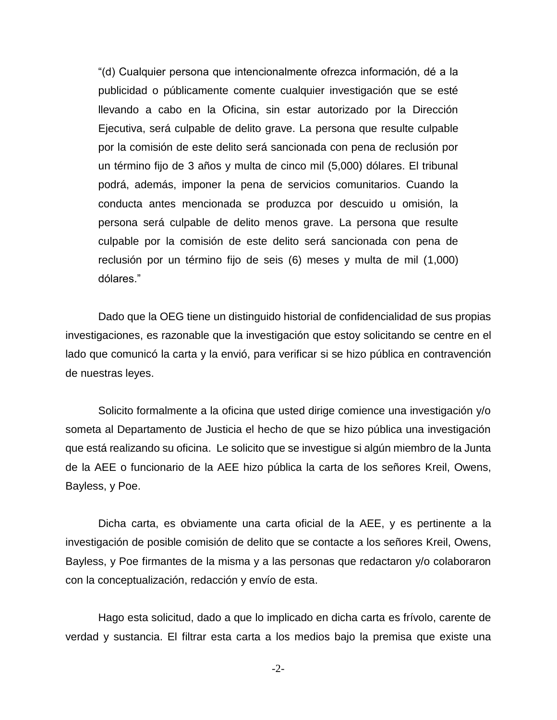"(d) Cualquier persona que intencionalmente ofrezca información, dé a la publicidad o públicamente comente cualquier investigación que se esté llevando a cabo en la Oficina, sin estar autorizado por la Dirección Ejecutiva, será culpable de delito grave. La persona que resulte culpable por la comisión de este delito será sancionada con pena de reclusión por un término fijo de 3 años y multa de cinco mil (5,000) dólares. El tribunal podrá, además, imponer la pena de servicios comunitarios. Cuando la conducta antes mencionada se produzca por descuido u omisión, la persona será culpable de delito menos grave. La persona que resulte culpable por la comisión de este delito será sancionada con pena de reclusión por un término fijo de seis (6) meses y multa de mil (1,000) dólares."

Dado que la OEG tiene un distinguido historial de confidencialidad de sus propias investigaciones, es razonable que la investigación que estoy solicitando se centre en el lado que comunicó la carta y la envió, para verificar si se hizo pública en contravención de nuestras leyes.

Solicito formalmente a la oficina que usted dirige comience una investigación y/o someta al Departamento de Justicia el hecho de que se hizo pública una investigación que está realizando su oficina. Le solicito que se investigue si algún miembro de la Junta de la AEE o funcionario de la AEE hizo pública la carta de los señores Kreil, Owens, Bayless, y Poe.

Dicha carta, es obviamente una carta oficial de la AEE, y es pertinente a la investigación de posible comisión de delito que se contacte a los señores Kreil, Owens, Bayless, y Poe firmantes de la misma y a las personas que redactaron y/o colaboraron con la conceptualización, redacción y envío de esta.

Hago esta solicitud, dado a que lo implicado en dicha carta es frívolo, carente de verdad y sustancia. El filtrar esta carta a los medios bajo la premisa que existe una

-2-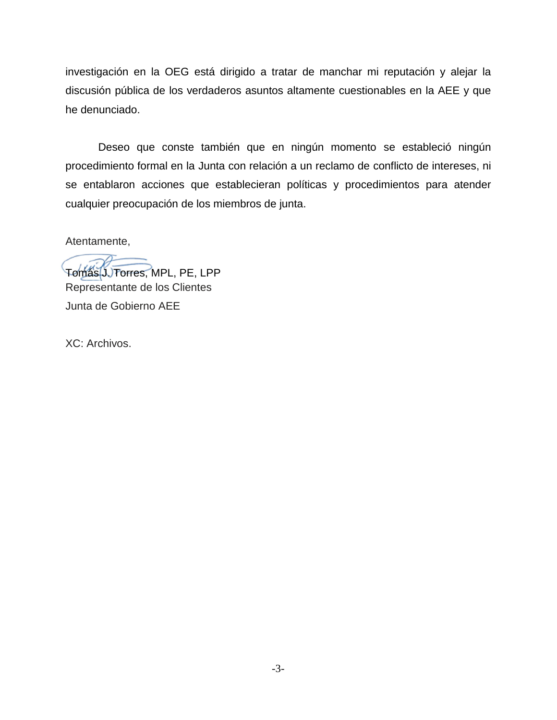investigación en la OEG está dirigido a tratar de manchar mi reputación y alejar la discusión pública de los verdaderos asuntos altamente cuestionables en la AEE y que he denunciado.

Deseo que conste también que en ningún momento se estableció ningún procedimiento formal en la Junta con relación a un reclamo de conflicto de intereses, ni se entablaron acciones que establecieran políticas y procedimientos para atender cualquier preocupación de los miembros de junta.

Atentamente,

Tomás J. Torres, MPL, PE, LPP Representante de los Clientes

Junta de Gobierno AEE

XC: Archivos.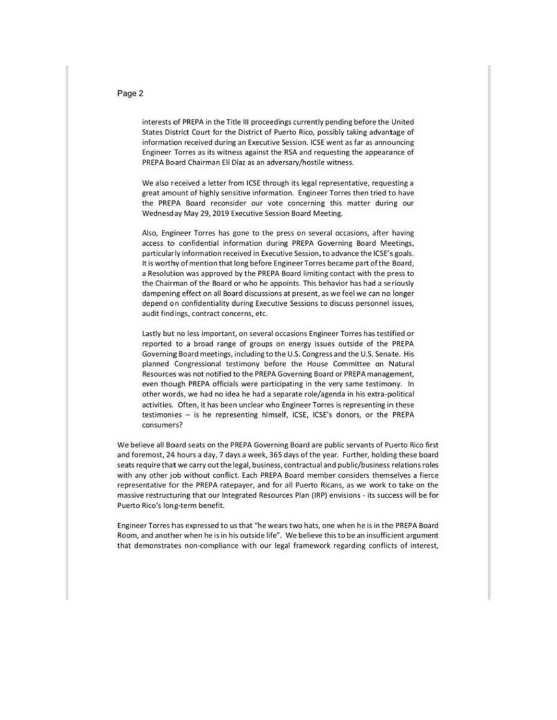#### Page 2

interests of PREPA in the Title III proceedings currently pending before the United States District Court for the District of Puerto Rico, possibly taking advantage of Information received during an Executive Session. ICSE went as far as annooncing Engineer Torres as its witness against the RSA and requesting the appearance of PREPA Board Chairman Eli Diaz as an adversary/hostile witness.

We also received a letter from ICSE through its legal representative, requesting a **great amount of highly sensitive information. Engineer Torres then tried to have**  the PREPA Board reconsider our vote concerning this matter during our Wednesday May 29,2019 Executive Session Board Meeting.

**Also, Engineer Torres has gone to the press on several occasions, after having**  access to confidential information during PREPA Governing Board Meetings, particularly information received in Executive Session, to advance the ICSE's goals. It is worthy of mention that long before Engineer Torres became part oft he Board, a Resolution was approved by the PREPA Board limiting contact with the press to the Chairman of the Board or who he appoints. This behavior has had a seriously dampening effect on all Board discussions at present, as we feel we can no longer depend on confidentiality during Executive Sessions to discuss personnel issues, audit findings, contract concerns, etc.

Lastly but no less important, on several occasions Engineer Torres has testified or reported to a broad range of groups on energy Issues outside of the PREPA Governing Board meetings, including to the U.S. Congress and the U.S. Senate. His planned Congressional testimony before the House Committee on Natural Resources was not notified to the PREPA Governing Board or PREPA management, even though PREPA officials were participating in the very same testimony. In other words, we had no idea he had a separate role/agenda in his extra-political activities. Often, it has been unclear who Engineer Torres is representing in these testimonies - is he representing himself, ICSE, ICSE's donors, or the PREPA **consumers?** 

We believe all Board seats on the PREPA Governing Board are public servants of Puerto Rico first and foremost, 24 hours a day, 7 days a week, 365days of the year. Further, holding these board seats require that we carry out the legal, business, contractual and public/business relations roles with any other job without conflict. Each PREPA Board member considers themselves *a* fierce **representative for the PREP A ratepayer. and for all Puerto Ricans, as we work to take on the**  massive restructuring that our Integrated Resources Plan (IRP) envisions - its success will be for **Puerto Rico's long-term benefit.** 

Engineer Torres has expressed to us that "he wears two hats, one when he is in the PREPA Board Room, and another when he is In his outside life". We believe this to be an insufficient argument that demonstrates non-compliance with our legal framework regarding conflicts of interest,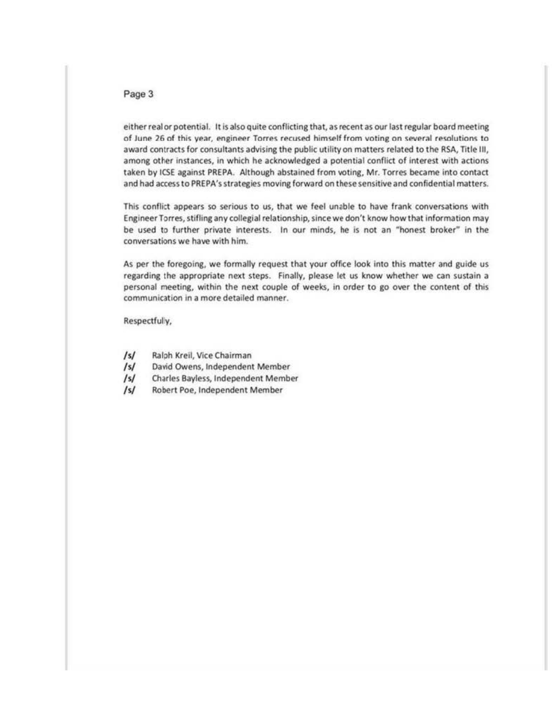### Page 3

either real or potential. It is also quite conflicting that, as recent as our last regular board meeting of June 26 of this year, engineer Torres recused himself from voting on several resolutions to award contracts for consultants advising the public utility on matters related to the RSA, Title Ill, among other instances, in which he acknowledged a potential conflict of interest with actions taken by ICSE against PREPA. Although abstained from voting, Mr. Torres became into contact and had access to PREPA's strategies moving forward on these sensitive and confidential matters.

This conflict appears so serious to us, that we feel unable to have frank conversations with Engineer Torres, stifling any collegial relationship, since we don't know how that information may be used to further private interests. In our minds, he is not an "honest broker" in the conversations we have with him.

As per the foregoing, we formally request that your office look into this matter and guide us regarding the appropriate next steps. Finally, please let us know whether we can sustain a personal meeting, within the next couple of weeks, in order to go over the content of this **communication In a more detailed manner.** 

Respectfully,

- /s/ Ralph Krell, Vice Chairman
- /s/ David Owens, Independent Member
- /s/ Charles Bayless, Independent Member
- /s/ Robert Poe, Independent Member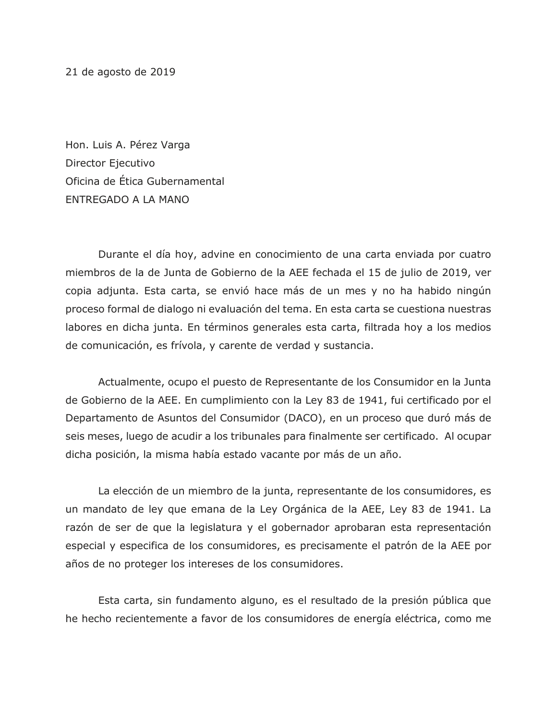21 de agosto de 2019

Hon. Luis A. Pérez Varga Director Ejecutivo Oficina de Ética Gubernamental ENTREGADO A LA MANO

Durante el día hoy, advine en conocimiento de una carta enviada por cuatro miembros de la de Junta de Gobierno de la AEE fechada el 15 de julio de 2019, ver copia adjunta. Esta carta, se envió hace más de un mes y no ha habido ningún proceso formal de dialogo ni evaluación del tema. En esta carta se cuestiona nuestras labores en dicha junta. En términos generales esta carta, filtrada hoy a los medios de comunicación, es frívola, y carente de verdad y sustancia.

Actualmente, ocupo el puesto de Representante de los Consumidor en la Junta de Gobierno de la AEE. En cumplimiento con la Ley 83 de 1941, fui certificado por el Departamento de Asuntos del Consumidor (DACO), en un proceso que duró más de seis meses, luego de acudir a los tribunales para finalmente ser certificado. Al ocupar dicha posición, la misma había estado vacante por más de un año.

La elección de un miembro de la junta, representante de los consumidores, es un mandato de ley que emana de la Ley Orgánica de la AEE, Ley 83 de 1941. La razón de ser de que la legislatura y el gobernador aprobaran esta representación especial y especifica de los consumidores, es precisamente el patrón de la AEE por años de no proteger los intereses de los consumidores.

Esta carta, sin fundamento alguno, es el resultado de la presión pública que he hecho recientemente a favor de los consumidores de energía eléctrica, como me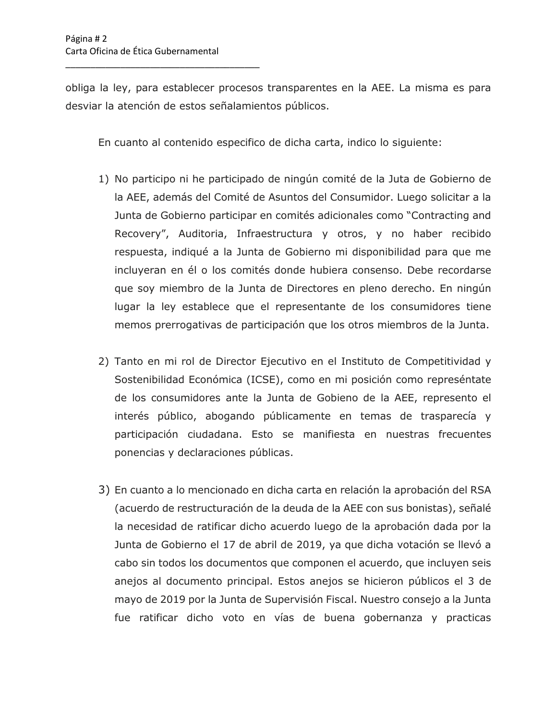\_\_\_\_\_\_\_\_\_\_\_\_\_\_\_\_\_\_\_\_\_\_\_\_\_\_\_\_\_\_\_\_\_\_\_\_\_\_\_

obliga la ley, para establecer procesos transparentes en la AEE. La misma es para desviar la atención de estos señalamientos públicos.

En cuanto al contenido especifico de dicha carta, indico lo siguiente:

- 1) No participo ni he participado de ningún comité de la Juta de Gobierno de la AEE, además del Comité de Asuntos del Consumidor. Luego solicitar a la Junta de Gobierno participar en comités adicionales como "Contracting and Recovery", Auditoria, Infraestructura y otros, y no haber recibido respuesta, indiqué a la Junta de Gobierno mi disponibilidad para que me incluyeran en él o los comités donde hubiera consenso. Debe recordarse que soy miembro de la Junta de Directores en pleno derecho. En ningún lugar la ley establece que el representante de los consumidores tiene memos prerrogativas de participación que los otros miembros de la Junta.
- 2) Tanto en mi rol de Director Ejecutivo en el Instituto de Competitividad y Sostenibilidad Económica (ICSE), como en mi posición como represéntate de los consumidores ante la Junta de Gobieno de la AEE, represento el interés público, abogando públicamente en temas de trasparecía y participación ciudadana. Esto se manifiesta en nuestras frecuentes ponencias y declaraciones públicas.
- 3) En cuanto a lo mencionado en dicha carta en relación la aprobación del RSA (acuerdo de restructuración de la deuda de la AEE con sus bonistas), señalé la necesidad de ratificar dicho acuerdo luego de la aprobación dada por la Junta de Gobierno el 17 de abril de 2019, ya que dicha votación se llevó a cabo sin todos los documentos que componen el acuerdo, que incluyen seis anejos al documento principal. Estos anejos se hicieron públicos el 3 de mayo de 2019 por la Junta de Supervisión Fiscal. Nuestro consejo a la Junta fue ratificar dicho voto en vías de buena gobernanza y practicas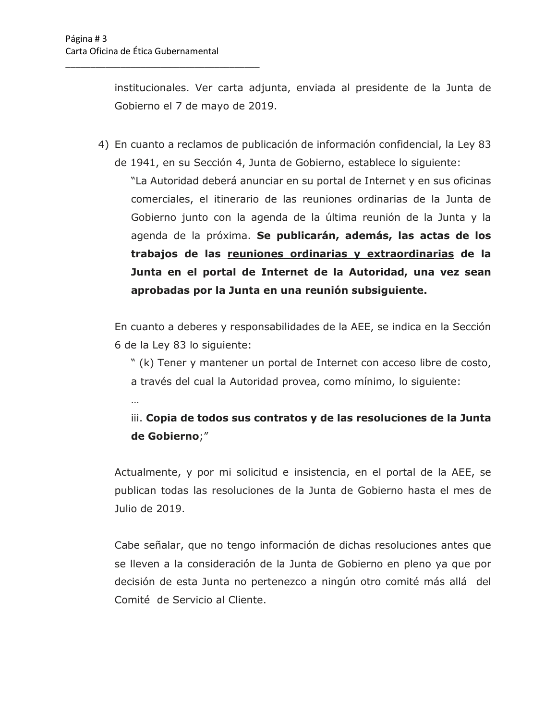…

\_\_\_\_\_\_\_\_\_\_\_\_\_\_\_\_\_\_\_\_\_\_\_\_\_\_\_\_\_\_\_\_\_\_\_\_\_\_\_

institucionales. Ver carta adjunta, enviada al presidente de la Junta de Gobierno el 7 de mayo de 2019.

4) En cuanto a reclamos de publicación de información confidencial, la Ley 83 de 1941, en su Sección 4, Junta de Gobierno, establece lo siguiente: "La Autoridad deberá anunciar en su portal de Internet y en sus oficinas comerciales, el itinerario de las reuniones ordinarias de la Junta de Gobierno junto con la agenda de la última reunión de la Junta y la agenda de la próxima. **Se publicarán, además, las actas de los trabajos de las reuniones ordinarias y extraordinarias de la Junta en el portal de Internet de la Autoridad, una vez sean aprobadas por la Junta en una reunión subsiguiente.**

En cuanto a deberes y responsabilidades de la AEE, se indica en la Sección 6 de la Ley 83 lo siguiente:

" (k) Tener y mantener un portal de Internet con acceso libre de costo, a través del cual la Autoridad provea, como mínimo, lo siguiente:

iii. **Copia de todos sus contratos y de las resoluciones de la Junta de Gobierno**;"

Actualmente, y por mi solicitud e insistencia, en el portal de la AEE, se publican todas las resoluciones de la Junta de Gobierno hasta el mes de Julio de 2019.

Cabe señalar, que no tengo información de dichas resoluciones antes que se lleven a la consideración de la Junta de Gobierno en pleno ya que por decisión de esta Junta no pertenezco a ningún otro comité más allá del Comité de Servicio al Cliente.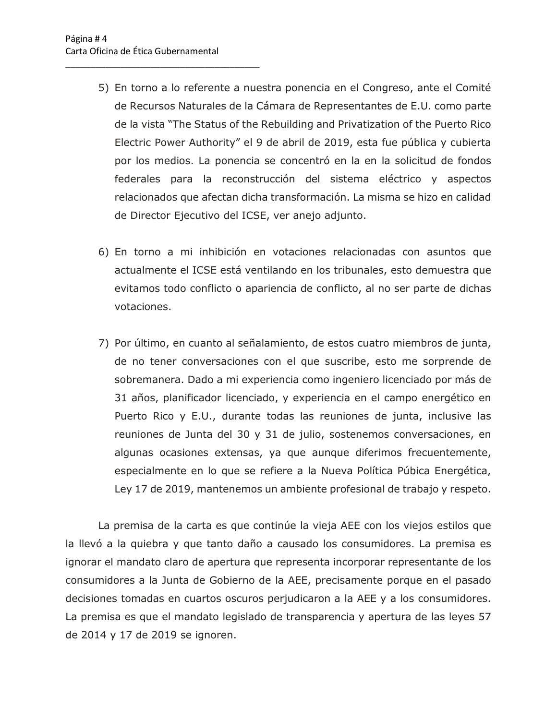\_\_\_\_\_\_\_\_\_\_\_\_\_\_\_\_\_\_\_\_\_\_\_\_\_\_\_\_\_\_\_\_\_\_\_\_\_\_\_

- 5) En torno a lo referente a nuestra ponencia en el Congreso, ante el Comité de Recursos Naturales de la Cámara de Representantes de E.U. como parte de la vista "The Status of the Rebuilding and Privatization of the Puerto Rico Electric Power Authority" el 9 de abril de 2019, esta fue pública y cubierta por los medios. La ponencia se concentró en la en la solicitud de fondos federales para la reconstrucción del sistema eléctrico y aspectos relacionados que afectan dicha transformación. La misma se hizo en calidad de Director Ejecutivo del ICSE, ver anejo adjunto.
- 6) En torno a mi inhibición en votaciones relacionadas con asuntos que actualmente el ICSE está ventilando en los tribunales, esto demuestra que evitamos todo conflicto o apariencia de conflicto, al no ser parte de dichas votaciones.
- 7) Por último, en cuanto al señalamiento, de estos cuatro miembros de junta, de no tener conversaciones con el que suscribe, esto me sorprende de sobremanera. Dado a mi experiencia como ingeniero licenciado por más de 31 años, planificador licenciado, y experiencia en el campo energético en Puerto Rico y E.U., durante todas las reuniones de junta, inclusive las reuniones de Junta del 30 y 31 de julio, sostenemos conversaciones, en algunas ocasiones extensas, ya que aunque diferimos frecuentemente, especialmente en lo que se refiere a la Nueva Política Púbica Energética, Ley 17 de 2019, mantenemos un ambiente profesional de trabajo y respeto.

La premisa de la carta es que continúe la vieja AEE con los viejos estilos que la llevó a la quiebra y que tanto daño a causado los consumidores. La premisa es ignorar el mandato claro de apertura que representa incorporar representante de los consumidores a la Junta de Gobierno de la AEE, precisamente porque en el pasado decisiones tomadas en cuartos oscuros perjudicaron a la AEE y a los consumidores. La premisa es que el mandato legislado de transparencia y apertura de las leyes 57 de 2014 y 17 de 2019 se ignoren.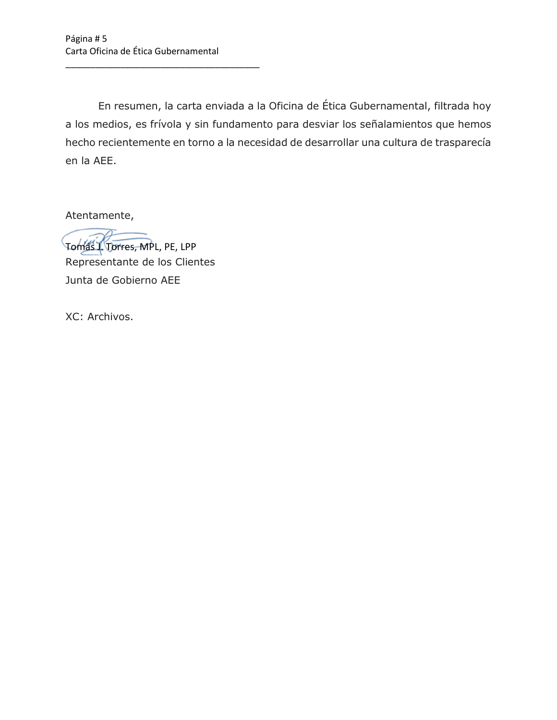\_\_\_\_\_\_\_\_\_\_\_\_\_\_\_\_\_\_\_\_\_\_\_\_\_\_\_\_\_\_\_\_\_\_\_\_\_\_\_

En resumen, la carta enviada a la Oficina de Ética Gubernamental, filtrada hoy a los medios, es frívola y sin fundamento para desviar los señalamientos que hemos hecho recientemente en torno a la necesidad de desarrollar una cultura de trasparecía en la AEE.

Atentamente,

Tomás J. Torres, MPL, PE, LPP

Representante de los Clientes Junta de Gobierno AEE

XC: Archivos.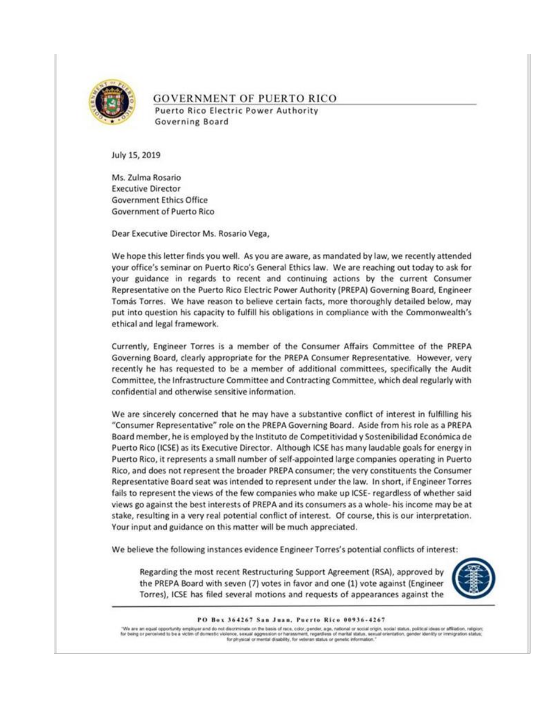

## **GOVERNMENT OF PUERTO RICO** Puerto Rico Electric Power Authority Governing Board

July 15, 2019

Ms. Zulma Rosario **Executive Director Government Ethics Office** Government of Puerto Rico

Dear Executive Director Ms. Rosario Vega,

We hope this letter finds you well. As you are aware, as mandated by law, we recently attended your office's seminar on Puerto Rico's General Ethics law. We are reaching out today to ask for your guidance in regards to recent and continuing actions by the current Consumer Representative on the Puerto Rico Electric Power Authority (PREPA) Governing Board, Engineer Tomás Torres. We have reason to believe certain facts, more thoroughly detailed below, may put into question his capacity to fulfill his obligations in compliance with the Commonwealth's ethical and legal framework.

Currently, Engineer Torres is a member of the Consumer Affairs Committee of the PREPA Governing Board, clearly appropriate for the PREPA Consumer Representative. However, very recently he has requested to be a member of additional committees, specifically the Audit Committee, the Infrastructure Committee and Contracting Committee, which deal regularly with confidential and otherwise sensitive information.

We are sincerely concerned that he may have a substantive conflict of interest in fulfilling his "Consumer Representative" role on the PREPA Governing Board. Aside from his role as a PREPA Board member, he is employed by the Instituto de Competitividad y Sostenibilidad Económica de Puerto Rico (ICSE) as its Executive Director. Although ICSE has many laudable goals for energy in Puerto Rico, it represents a small number of self-appointed large companies operating in Puerto Rico, and does not represent the broader PREPA consumer; the very constituents the Consumer Representative Board seat was intended to represent under the law. In short, if Engineer Torres fails to represent the views of the few companies who make up ICSE- regardless of whether said views go against the best interests of PREPA and its consumers as a whole- his income may be at stake, resulting in a very real potential conflict of interest. Of course, this is our interpretation. Your input and guidance on this matter will be much appreciated.

We believe the following instances evidence Engineer Torres's potential conflicts of interest:

Regarding the most recent Restructuring Support Agreement (RSA), approved by the PREPA Board with seven (7) votes in favor and one (1) vote against (Engineer Torres), ICSE has filed several motions and requests of appearances against the



#### PO Box 364267 San Juan, Puerto Rico 00936-4267

"We are an equal opportunity employer and do not discriminate on the basis of race, color, gender, age, national or social origin, social status, political ideas or affiliation, religion<br>For being or perceived to be a vict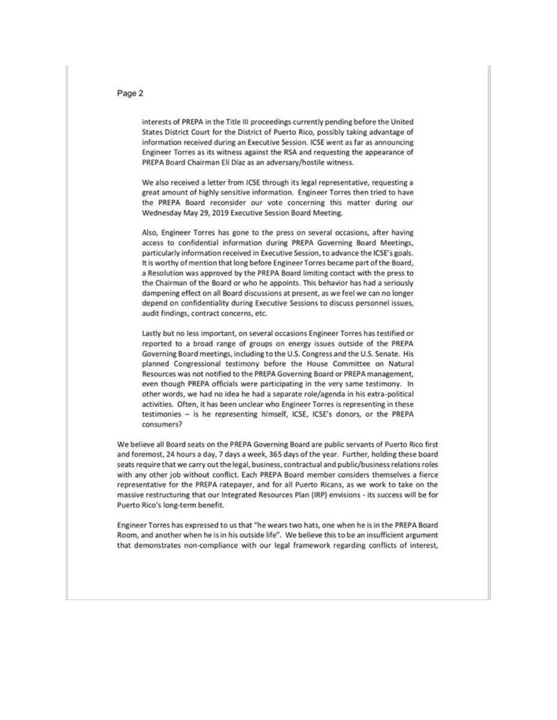### Page 2

interests of PREPA in the Title III proceedings currently pending before the United States District Court for the District of Puerto Rico, possibly taking advantage of information received during an Executive Session. ICSE went as far as announcing Engineer Torres as its witness against the RSA and requesting the appearance of PREPA Board Chairman Eli Díaz as an adversary/hostile witness.

We also received a letter from ICSE through its legal representative, requesting a great amount of highly sensitive information. Engineer Torres then tried to have the PREPA Board reconsider our vote concerning this matter during our Wednesday May 29, 2019 Executive Session Board Meeting.

Also, Engineer Torres has gone to the press on several occasions, after having access to confidential information during PREPA Governing Board Meetings, particularly information received in Executive Session, to advance the ICSE's goals. It is worthy of mention that long before Engineer Torres became part of the Board, a Resolution was approved by the PREPA Board limiting contact with the press to the Chairman of the Board or who he appoints. This behavior has had a seriously dampening effect on all Board discussions at present, as we feel we can no longer depend on confidentiality during Executive Sessions to discuss personnel issues, audit findings, contract concerns, etc.

Lastly but no less important, on several occasions Engineer Torres has testified or reported to a broad range of groups on energy issues outside of the PREPA Governing Board meetings, including to the U.S. Congress and the U.S. Senate. His planned Congressional testimony before the House Committee on Natural Resources was not notified to the PREPA Governing Board or PREPA management, even though PREPA officials were participating in the very same testimony. In other words, we had no idea he had a separate role/agenda in his extra-political activities. Often, it has been unclear who Engineer Torres is representing in these testimonies - is he representing himself, ICSE, ICSE's donors, or the PREPA consumers?

We believe all Board seats on the PREPA Governing Board are public servants of Puerto Rico first and foremost, 24 hours a day, 7 days a week, 365 days of the year. Further, holding these board seats require that we carry out the legal, business, contractual and public/business relations roles with any other job without conflict. Each PREPA Board member considers themselves a fierce representative for the PREPA ratepayer, and for all Puerto Ricans, as we work to take on the massive restructuring that our Integrated Resources Plan (IRP) envisions - its success will be for Puerto Rico's long-term benefit.

Engineer Torres has expressed to us that "he wears two hats, one when he is in the PREPA Board Room, and another when he is in his outside life". We believe this to be an insufficient argument that demonstrates non-compliance with our legal framework regarding conflicts of interest,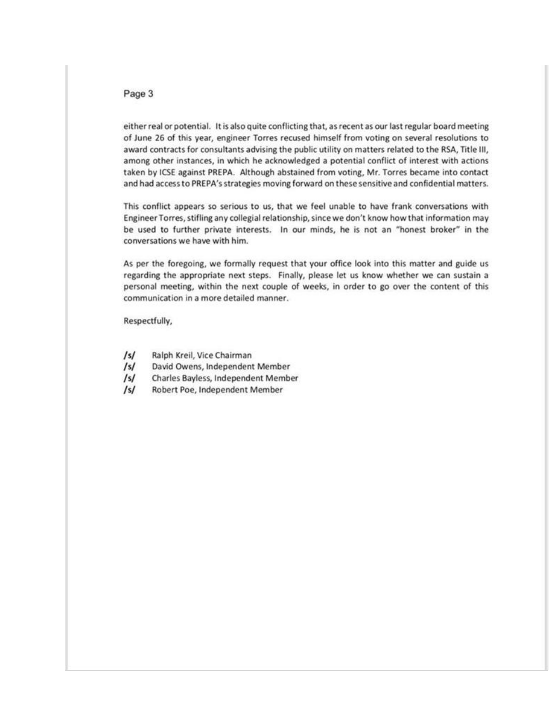### Page 3

either real or potential. It is also quite conflicting that, as recent as our last regular board meeting of June 26 of this year, engineer Torres recused himself from voting on several resolutions to award contracts for consultants advising the public utility on matters related to the RSA, Title III, among other instances, in which he acknowledged a potential conflict of interest with actions taken by ICSE against PREPA. Although abstained from voting, Mr. Torres became into contact and had access to PREPA's strategies moving forward on these sensitive and confidential matters.

This conflict appears so serious to us, that we feel unable to have frank conversations with Engineer Torres, stifling any collegial relationship, since we don't know how that information may be used to further private interests. In our minds, he is not an "honest broker" in the conversations we have with him.

As per the foregoing, we formally request that your office look into this matter and guide us regarding the appropriate next steps. Finally, please let us know whether we can sustain a personal meeting, within the next couple of weeks, in order to go over the content of this communication in a more detailed manner.

Respectfully,

- $/s/$ Ralph Kreil, Vice Chairman
- $\sqrt{s}$ David Owens, Independent Member
- $/s/$ Charles Bayless, Independent Member
- $/s/$ Robert Poe, Independent Member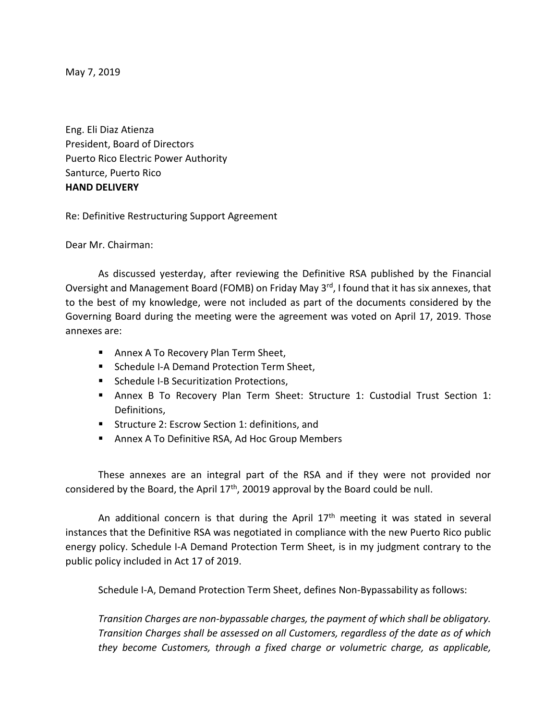May 7, 2019

Eng. Eli Diaz Atienza President, Board of Directors Puerto Rico Electric Power Authority Santurce, Puerto Rico **HAND DELIVERY**

Re: Definitive Restructuring Support Agreement

Dear Mr. Chairman:

As discussed yesterday, after reviewing the Definitive RSA published by the Financial Oversight and Management Board (FOMB) on Friday May 3<sup>rd</sup>, I found that it has six annexes, that to the best of my knowledge, were not included as part of the documents considered by the Governing Board during the meeting were the agreement was voted on April 17, 2019. Those annexes are:

- Annex A To Recovery Plan Term Sheet,
- Schedule I-A Demand Protection Term Sheet.
- Schedule I-B Securitization Protections,
- Annex B To Recovery Plan Term Sheet: Structure 1: Custodial Trust Section 1: Definitions,
- Structure 2: Escrow Section 1: definitions, and
- Annex A To Definitive RSA, Ad Hoc Group Members

These annexes are an integral part of the RSA and if they were not provided nor considered by the Board, the April 17th, 20019 approval by the Board could be null.

An additional concern is that during the April  $17<sup>th</sup>$  meeting it was stated in several instances that the Definitive RSA was negotiated in compliance with the new Puerto Rico public energy policy. Schedule I-A Demand Protection Term Sheet, is in my judgment contrary to the public policy included in Act 17 of 2019.

Schedule I-A, Demand Protection Term Sheet, defines Non-Bypassability as follows:

*Transition Charges are non-bypassable charges, the payment of which shall be obligatory. Transition Charges shall be assessed on all Customers, regardless of the date as of which they become Customers, through a fixed charge or volumetric charge, as applicable,*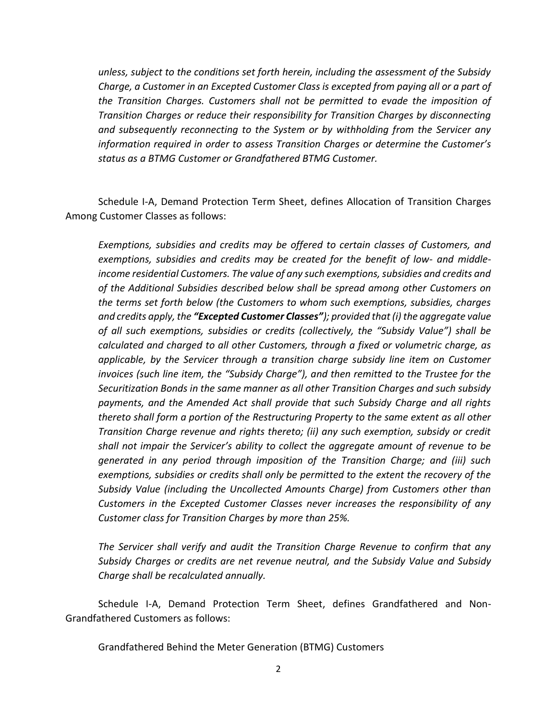*unless, subject to the conditions set forth herein, including the assessment of the Subsidy Charge, a Customer in an Excepted Customer Class is excepted from paying all or a part of the Transition Charges. Customers shall not be permitted to evade the imposition of Transition Charges or reduce their responsibility for Transition Charges by disconnecting and subsequently reconnecting to the System or by withholding from the Servicer any information required in order to assess Transition Charges or determine the Customer's status as a BTMG Customer or Grandfathered BTMG Customer.*

Schedule I-A, Demand Protection Term Sheet, defines Allocation of Transition Charges Among Customer Classes as follows:

*Exemptions, subsidies and credits may be offered to certain classes of Customers, and exemptions, subsidies and credits may be created for the benefit of low- and middleincome residential Customers. The value of any such exemptions, subsidies and credits and of the Additional Subsidies described below shall be spread among other Customers on the terms set forth below (the Customers to whom such exemptions, subsidies, charges and credits apply, the "Excepted Customer Classes"); provided that (i) the aggregate value of all such exemptions, subsidies or credits (collectively, the "Subsidy Value") shall be calculated and charged to all other Customers, through a fixed or volumetric charge, as applicable, by the Servicer through a transition charge subsidy line item on Customer invoices (such line item, the "Subsidy Charge"), and then remitted to the Trustee for the Securitization Bonds in the same manner as all other Transition Charges and such subsidy payments, and the Amended Act shall provide that such Subsidy Charge and all rights thereto shall form a portion of the Restructuring Property to the same extent as all other Transition Charge revenue and rights thereto; (ii) any such exemption, subsidy or credit shall not impair the Servicer's ability to collect the aggregate amount of revenue to be generated in any period through imposition of the Transition Charge; and (iii) such exemptions, subsidies or credits shall only be permitted to the extent the recovery of the Subsidy Value (including the Uncollected Amounts Charge) from Customers other than Customers in the Excepted Customer Classes never increases the responsibility of any Customer class for Transition Charges by more than 25%.*

*The Servicer shall verify and audit the Transition Charge Revenue to confirm that any Subsidy Charges or credits are net revenue neutral, and the Subsidy Value and Subsidy Charge shall be recalculated annually.*

Schedule I-A, Demand Protection Term Sheet, defines Grandfathered and Non-Grandfathered Customers as follows:

Grandfathered Behind the Meter Generation (BTMG) Customers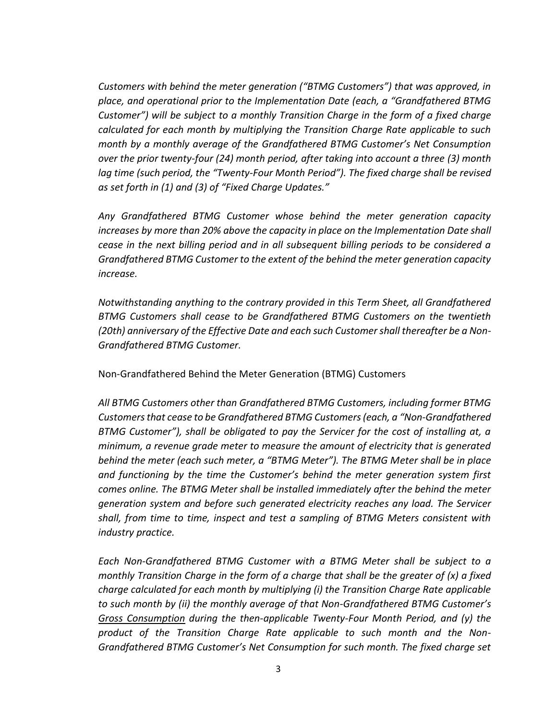*Customers with behind the meter generation ("BTMG Customers") that was approved, in place, and operational prior to the Implementation Date (each, a "Grandfathered BTMG Customer") will be subject to a monthly Transition Charge in the form of a fixed charge calculated for each month by multiplying the Transition Charge Rate applicable to such month by a monthly average of the Grandfathered BTMG Customer's Net Consumption over the prior twenty-four (24) month period, after taking into account a three (3) month lag time (such period, the "Twenty-Four Month Period"). The fixed charge shall be revised as set forth in (1) and (3) of "Fixed Charge Updates."*

*Any Grandfathered BTMG Customer whose behind the meter generation capacity increases by more than 20% above the capacity in place on the Implementation Date shall cease in the next billing period and in all subsequent billing periods to be considered a Grandfathered BTMG Customer to the extent of the behind the meter generation capacity increase.*

*Notwithstanding anything to the contrary provided in this Term Sheet, all Grandfathered BTMG Customers shall cease to be Grandfathered BTMG Customers on the twentieth (20th) anniversary of the Effective Date and each such Customer shall thereafter be a Non-Grandfathered BTMG Customer.*

Non-Grandfathered Behind the Meter Generation (BTMG) Customers

*All BTMG Customers other than Grandfathered BTMG Customers, including former BTMG Customers that cease to be Grandfathered BTMG Customers (each, a "Non-Grandfathered BTMG Customer"), shall be obligated to pay the Servicer for the cost of installing at, a minimum, a revenue grade meter to measure the amount of electricity that is generated behind the meter (each such meter, a "BTMG Meter"). The BTMG Meter shall be in place and functioning by the time the Customer's behind the meter generation system first comes online. The BTMG Meter shall be installed immediately after the behind the meter generation system and before such generated electricity reaches any load. The Servicer shall, from time to time, inspect and test a sampling of BTMG Meters consistent with industry practice.*

*Each Non-Grandfathered BTMG Customer with a BTMG Meter shall be subject to a monthly Transition Charge in the form of a charge that shall be the greater of (x) a fixed charge calculated for each month by multiplying (i) the Transition Charge Rate applicable to such month by (ii) the monthly average of that Non-Grandfathered BTMG Customer's Gross Consumption during the then-applicable Twenty-Four Month Period, and (y) the product of the Transition Charge Rate applicable to such month and the Non-Grandfathered BTMG Customer's Net Consumption for such month. The fixed charge set*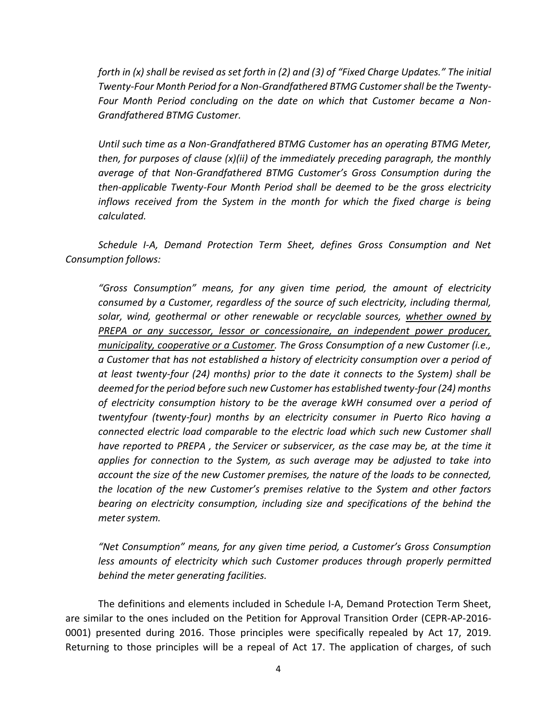*forth in (x) shall be revised as set forth in (2) and (3) of "Fixed Charge Updates." The initial Twenty-Four Month Period for a Non-Grandfathered BTMG Customer shall be the Twenty-Four Month Period concluding on the date on which that Customer became a Non-Grandfathered BTMG Customer.*

*Until such time as a Non-Grandfathered BTMG Customer has an operating BTMG Meter, then, for purposes of clause (x)(ii) of the immediately preceding paragraph, the monthly average of that Non-Grandfathered BTMG Customer's Gross Consumption during the then-applicable Twenty-Four Month Period shall be deemed to be the gross electricity inflows received from the System in the month for which the fixed charge is being calculated.*

*Schedule I-A, Demand Protection Term Sheet, defines Gross Consumption and Net Consumption follows:*

*"Gross Consumption" means, for any given time period, the amount of electricity consumed by a Customer, regardless of the source of such electricity, including thermal, solar, wind, geothermal or other renewable or recyclable sources, whether owned by PREPA or any successor, lessor or concessionaire, an independent power producer, municipality, cooperative or a Customer. The Gross Consumption of a new Customer (i.e., a Customer that has not established a history of electricity consumption over a period of at least twenty-four (24) months) prior to the date it connects to the System) shall be deemed for the period before such new Customer has established twenty-four (24) months of electricity consumption history to be the average kWH consumed over a period of twentyfour (twenty-four) months by an electricity consumer in Puerto Rico having a connected electric load comparable to the electric load which such new Customer shall have reported to PREPA , the Servicer or subservicer, as the case may be, at the time it applies for connection to the System, as such average may be adjusted to take into account the size of the new Customer premises, the nature of the loads to be connected, the location of the new Customer's premises relative to the System and other factors bearing on electricity consumption, including size and specifications of the behind the meter system.*

*"Net Consumption" means, for any given time period, a Customer's Gross Consumption less amounts of electricity which such Customer produces through properly permitted behind the meter generating facilities.*

The definitions and elements included in Schedule I-A, Demand Protection Term Sheet, are similar to the ones included on the Petition for Approval Transition Order (CEPR-AP-2016- 0001) presented during 2016. Those principles were specifically repealed by Act 17, 2019. Returning to those principles will be a repeal of Act 17. The application of charges, of such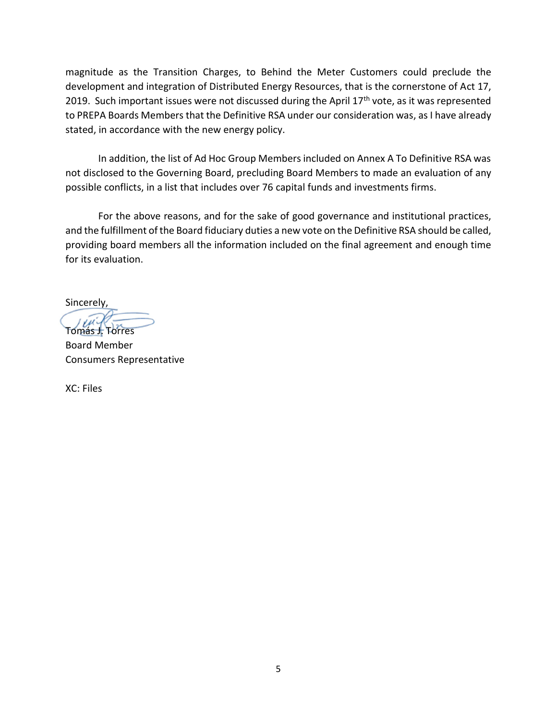magnitude as the Transition Charges, to Behind the Meter Customers could preclude the development and integration of Distributed Energy Resources, that is the cornerstone of Act 17, 2019. Such important issues were not discussed during the April 17<sup>th</sup> vote, as it was represented to PREPA Boards Members that the Definitive RSA under our consideration was, as I have already stated, in accordance with the new energy policy.

In addition, the list of Ad Hoc Group Members included on Annex A To Definitive RSA was not disclosed to the Governing Board, precluding Board Members to made an evaluation of any possible conflicts, in a list that includes over 76 capital funds and investments firms.

For the above reasons, and for the sake of good governance and institutional practices, and the fulfillment of the Board fiduciary duties a new vote on the Definitive RSA should be called, providing board members all the information included on the final agreement and enough time for its evaluation.

Sincerely,

Tomás J. Torres Board Member Consumers Representative

XC: Files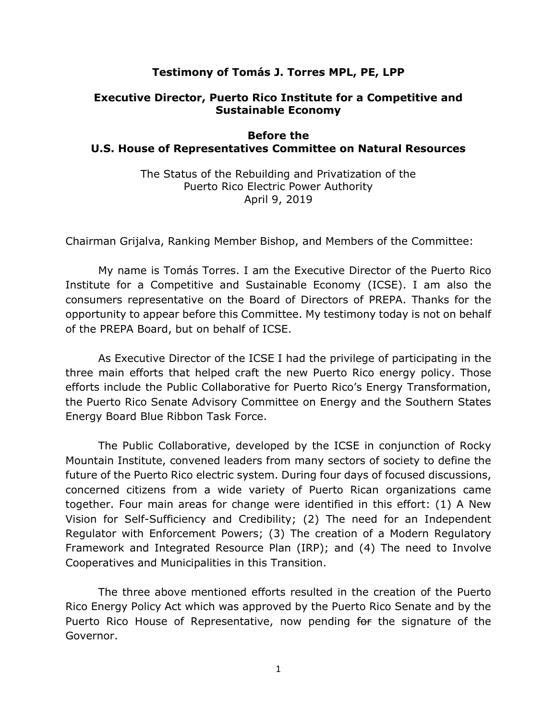# **Testimony of Tomás J. Torres MPL, PE, LPP**

# **Executive Director, Puerto Rico Institute for a Competitive and Sustainable Economy**

## **Before the U.S. House of Representatives Committee on Natural Resources**

The Status of the Rebuilding and Privatization of the Puerto Rico Electric Power Authority April 9, 2019

Chairman Grijalva, Ranking Member Bishop, and Members of the Committee:

My name is Tomás Torres. I am the Executive Director of the Puerto Rico Institute for a Competitive and Sustainable Economy (ICSE). I am also the consumers representative on the Board of Directors of PREPA. Thanks for the opportunity to appear before this Committee. My testimony today is not on behalf of the PREPA Board, but on behalf of ICSE.

As Executive Director of the ICSE I had the privilege of participating in the three main efforts that helped craft the new Puerto Rico energy policy. Those efforts include the Public Collaborative for Puerto Rico's Energy Transformation, the Puerto Rico Senate Advisory Committee on Energy and the Southern States Energy Board Blue Ribbon Task Force.

The Public Collaborative, developed by the ICSE in conjunction of Rocky Mountain Institute, convened leaders from many sectors of society to define the future of the Puerto Rico electric system. During four days of focused discussions, concerned citizens from a wide variety of Puerto Rican organizations came together. Four main areas for change were identified in this effort: (1) A New Vision for Self-Sufficiency and Credibility; (2) The need for an Independent Regulator with Enforcement Powers; (3) The creation of a Modern Regulatory Framework and Integrated Resource Plan (IRP); and (4) The need to Involve Cooperatives and Municipalities in this Transition.

The three above mentioned efforts resulted in the creation of the Puerto Rico Energy Policy Act which was approved by the Puerto Rico Senate and by the Puerto Rico House of Representative, now pending for the signature of the Governor.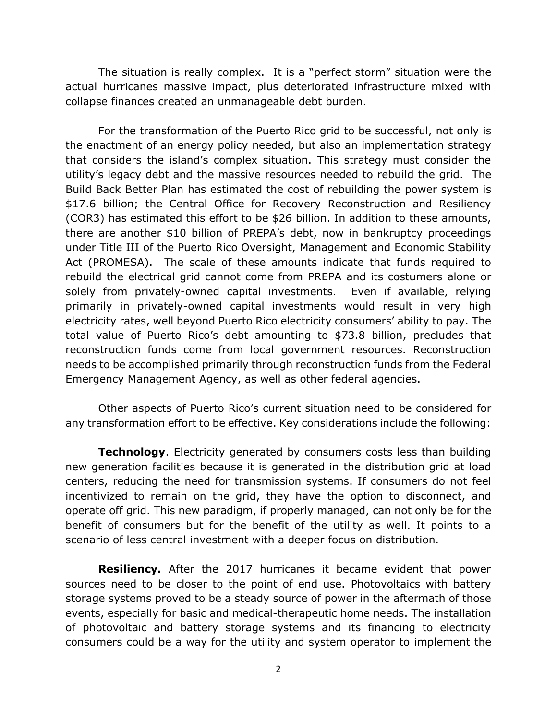The situation is really complex. It is a "perfect storm" situation were the actual hurricanes massive impact, plus deteriorated infrastructure mixed with collapse finances created an unmanageable debt burden.

For the transformation of the Puerto Rico grid to be successful, not only is the enactment of an energy policy needed, but also an implementation strategy that considers the island's complex situation. This strategy must consider the utility's legacy debt and the massive resources needed to rebuild the grid. The Build Back Better Plan has estimated the cost of rebuilding the power system is \$17.6 billion; the Central Office for Recovery Reconstruction and Resiliency (COR3) has estimated this effort to be \$26 billion. In addition to these amounts, there are another \$10 billion of PREPA's debt, now in bankruptcy proceedings under Title III of the Puerto Rico Oversight, Management and Economic Stability Act (PROMESA). The scale of these amounts indicate that funds required to rebuild the electrical grid cannot come from PREPA and its costumers alone or solely from privately-owned capital investments. Even if available, relying primarily in privately-owned capital investments would result in very high electricity rates, well beyond Puerto Rico electricity consumers' ability to pay. The total value of Puerto Rico's debt amounting to \$73.8 billion, precludes that reconstruction funds come from local government resources. Reconstruction needs to be accomplished primarily through reconstruction funds from the Federal Emergency Management Agency, as well as other federal agencies.

Other aspects of Puerto Rico's current situation need to be considered for any transformation effort to be effective. Key considerations include the following:

**Technology**. Electricity generated by consumers costs less than building new generation facilities because it is generated in the distribution grid at load centers, reducing the need for transmission systems. If consumers do not feel incentivized to remain on the grid, they have the option to disconnect, and operate off grid. This new paradigm, if properly managed, can not only be for the benefit of consumers but for the benefit of the utility as well. It points to a scenario of less central investment with a deeper focus on distribution.

**Resiliency.** After the 2017 hurricanes it became evident that power sources need to be closer to the point of end use. Photovoltaics with battery storage systems proved to be a steady source of power in the aftermath of those events, especially for basic and medical-therapeutic home needs. The installation of photovoltaic and battery storage systems and its financing to electricity consumers could be a way for the utility and system operator to implement the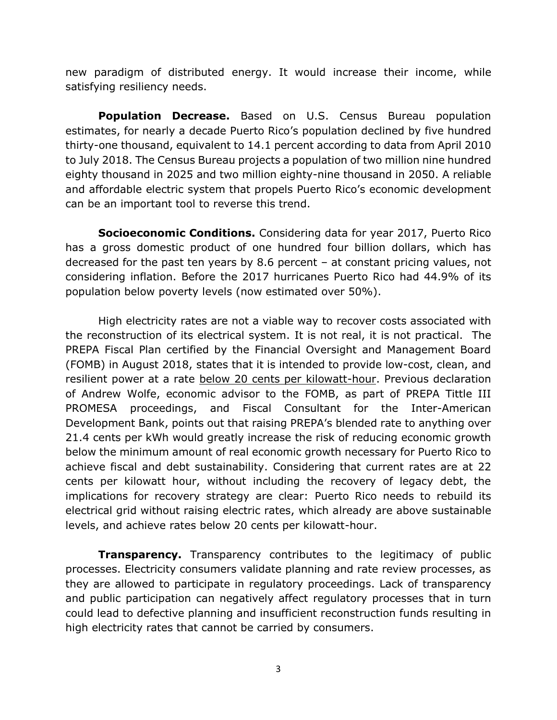new paradigm of distributed energy. It would increase their income, while satisfying resiliency needs.

**Population Decrease.** Based on U.S. Census Bureau population estimates, for nearly a decade Puerto Rico's population declined by five hundred thirty-one thousand, equivalent to 14.1 percent according to data from April 2010 to July 2018. The Census Bureau projects a population of two million nine hundred eighty thousand in 2025 and two million eighty-nine thousand in 2050. A reliable and affordable electric system that propels Puerto Rico's economic development can be an important tool to reverse this trend.

**Socioeconomic Conditions.** Considering data for year 2017, Puerto Rico has a gross domestic product of one hundred four billion dollars, which has decreased for the past ten years by 8.6 percent – at constant pricing values, not considering inflation. Before the 2017 hurricanes Puerto Rico had 44.9% of its population below poverty levels (now estimated over 50%).

High electricity rates are not a viable way to recover costs associated with the reconstruction of its electrical system. It is not real, it is not practical. The PREPA Fiscal Plan certified by the Financial Oversight and Management Board (FOMB) in August 2018, states that it is intended to provide low-cost, clean, and resilient power at a rate below 20 cents per kilowatt-hour. Previous declaration of Andrew Wolfe, economic advisor to the FOMB, as part of PREPA Tittle III PROMESA proceedings, and Fiscal Consultant for the Inter-American Development Bank, points out that raising PREPA's blended rate to anything over 21.4 cents per kWh would greatly increase the risk of reducing economic growth below the minimum amount of real economic growth necessary for Puerto Rico to achieve fiscal and debt sustainability. Considering that current rates are at 22 cents per kilowatt hour, without including the recovery of legacy debt, the implications for recovery strategy are clear: Puerto Rico needs to rebuild its electrical grid without raising electric rates, which already are above sustainable levels, and achieve rates below 20 cents per kilowatt-hour.

**Transparency.** Transparency contributes to the legitimacy of public processes. Electricity consumers validate planning and rate review processes, as they are allowed to participate in regulatory proceedings. Lack of transparency and public participation can negatively affect regulatory processes that in turn could lead to defective planning and insufficient reconstruction funds resulting in high electricity rates that cannot be carried by consumers.